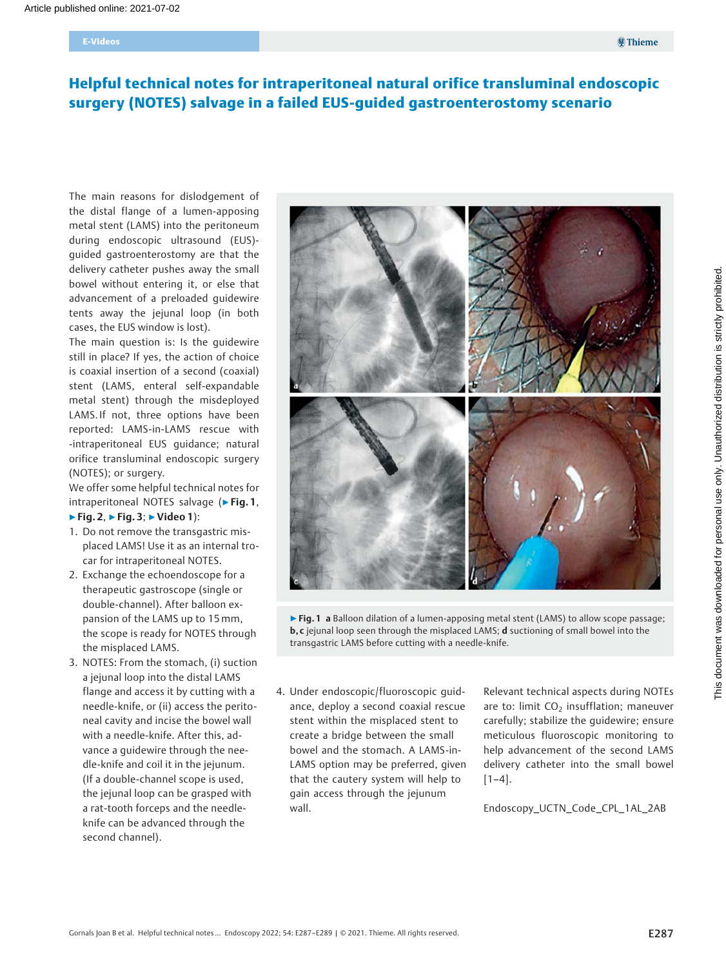# Helpful technical notes for intraperitoneal natural orifice transluminal endoscopic surgery (NOTES) salvage in a failed EUS-guided gastroenterostomy scenario

The main reasons for dislodgement of the distal flange of a lumen-apposing metal stent (LAMS) into the peritoneum during endoscopic ultrasound (EUS) guided gastroenterostomy are that the delivery catheter pushes away the small bowel without entering it, or else that advancement of a preloaded guidewire tents away the jejunal loop (in both cases, the EUS window is lost).

The main question is: Is the guidewire still in place? If yes, the action of choice is coaxial insertion of a second (coaxial) stent (LAMS, enteral self-expandable metal stent) through the misdeployed LAMS. If not, three options have been reported: LAMS-in-LAMS rescue with -intraperitoneal EUS guidance; natural orifice transluminal endoscopic surgery (NOTES); or surgery.

We offer some helpful technical notes for intraperitoneal NOTES salvage ( $\triangleright$  Fig. 1, ▶Fig. 2, ▶Fig. 3; ▶Video 1):

- 1. Do not remove the transgastric misplaced LAMS! Use it as an internal trocar for intraperitoneal NOTES.
- 2. Exchange the echoendoscope for a therapeutic gastroscope (single or double-channel). After balloon expansion of the LAMS up to 15mm, the scope is ready for NOTES through the misplaced LAMS.
- 3. NOTES: From the stomach, (i) suction a jejunal loop into the distal LAMS flange and access it by cutting with a needle-knife, or (ii) access the peritoneal cavity and incise the bowel wall with a needle-knife. After this, advance a guidewire through the needle-knife and coil it in the jejunum. (If a double-channel scope is used, the jejunal loop can be grasped with a rat-tooth forceps and the needleknife can be advanced through the second channel).



▶ Fig. 1 a Balloon dilation of a lumen-apposing metal stent (LAMS) to allow scope passage; b, c jejunal loop seen through the misplaced LAMS; d suctioning of small bowel into the transgastric LAMS before cutting with a needle-knife.

4. Under endoscopic/fluoroscopic guidance, deploy a second coaxial rescue stent within the misplaced stent to create a bridge between the small bowel and the stomach. A LAMS-in-LAMS option may be preferred, given that the cautery system will help to gain access through the jejunum wall.

Relevant technical aspects during NOTEs are to: limit  $CO<sub>2</sub>$  insufflation; maneuver carefully; stabilize the guidewire; ensure meticulous fluoroscopic monitoring to help advancement of the second LAMS delivery catheter into the small bowel  $[1-4]$ .

Endoscopy\_UCTN\_Code\_CPL\_1AL\_2AB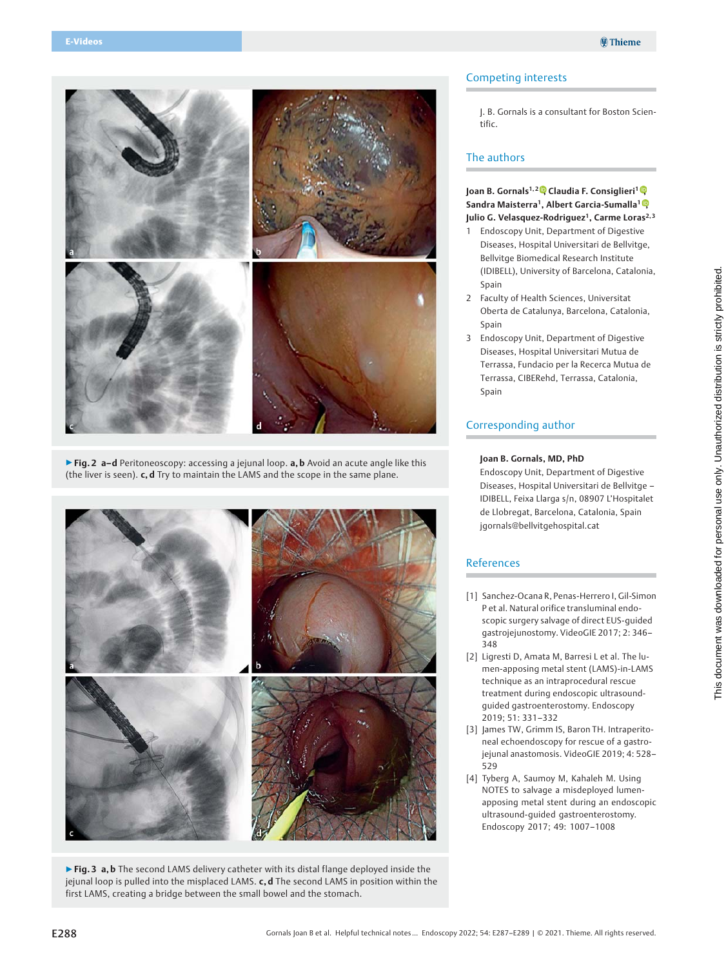

▶ Fig. 2 a-d Peritoneoscopy: accessing a jejunal loop. a, b Avoid an acute angle like this (the liver is seen).  $c, d$  Try to maintain the LAMS and the scope in the same plane.



▶ Fig. 3 a, b The second LAMS delivery catheter with its distal flange deployed inside the jejunal loop is pulled into the misplaced LAMS.  $c, d$  The second LAMS in position within the first LAMS, creating a bridge between the small bowel and the stomach.

#### Competing interests

J. B. Gornals is a consultant for Boston Scientific.

## The authors

#### Joan B. Gornals<sup>1[,](https://orcid.org/0000-0002-3438-6867)2</sup> Claudia F. Consiglieri<sup>1 (0</sup> Sandra Maisterra<sup>1</sup>[,](https://orcid.org/0000-0001-6163-4582) Albert Garcia-Sumalla<sup>1</sup> Julio G. Velasquez-Rodriguez<sup>1</sup>, Carme Loras<sup>2,3</sup>

- 1 Endoscopy Unit, Department of Digestive Diseases, Hospital Universitari de Bellvitge, Bellvitge Biomedical Research Institute (IDIBELL), University of Barcelona, Catalonia, Spain
- 2 Faculty of Health Sciences, Universitat Oberta de Catalunya, Barcelona, Catalonia, Spain
- 3 Endoscopy Unit, Department of Digestive Diseases, Hospital Universitari Mutua de Terrassa, Fundacio per la Recerca Mutua de Terrassa, CIBERehd, Terrassa, Catalonia, Spain

#### Corresponding author

#### Joan B. Gornals, MD, PhD

Endoscopy Unit, Department of Digestive Diseases, Hospital Universitari de Bellvitge – IDIBELL, Feixa Llarga s/n, 08907 L'Hospitalet de Llobregat, Barcelona, Catalonia, Spain jgornals@bellvitgehospital.cat

#### References

- [1] Sanchez-Ocana R, Penas-Herrero I, Gil-Simon P et al. Natural orifice transluminal endoscopic surgery salvage of direct EUS-guided gastrojejunostomy. VideoGIE 2017; 2: 346– 348
- [2] Ligresti D, Amata M, Barresi L et al. The lumen-apposing metal stent (LAMS)-in-LAMS technique as an intraprocedural rescue treatment during endoscopic ultrasoundguided gastroenterostomy. Endoscopy 2019; 51: 331–332
- [3] James TW, Grimm IS, Baron TH. Intraperitoneal echoendoscopy for rescue of a gastrojejunal anastomosis. VideoGIE 2019; 4: 528– 529
- [4] Tyberg A, Saumoy M, Kahaleh M. Using NOTES to salvage a misdeployed lumenapposing metal stent during an endoscopic ultrasound-guided gastroenterostomy. Endoscopy 2017; 49: 1007–1008